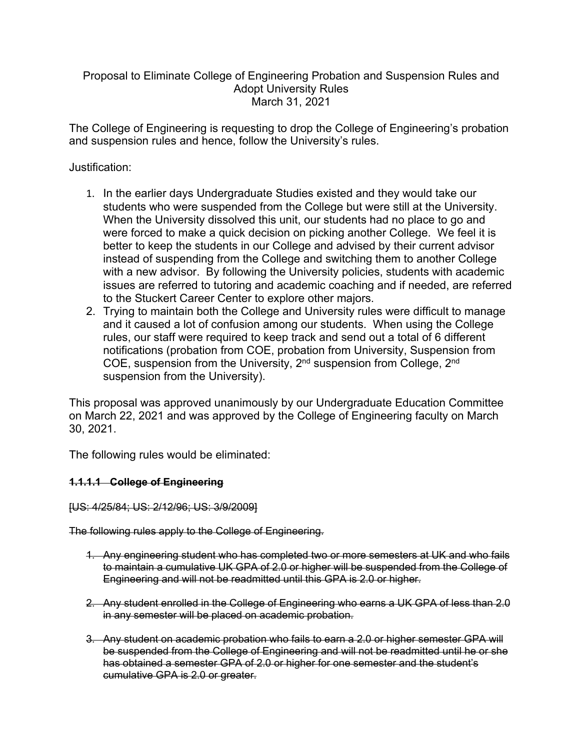# Proposal to Eliminate College of Engineering Probation and Suspension Rules and Adopt University Rules March 31, 2021

The College of Engineering is requesting to drop the College of Engineering's probation and suspension rules and hence, follow the University's rules.

## Justification:

- 1. In the earlier days Undergraduate Studies existed and they would take our students who were suspended from the College but were still at the University. When the University dissolved this unit, our students had no place to go and were forced to make a quick decision on picking another College. We feel it is better to keep the students in our College and advised by their current advisor instead of suspending from the College and switching them to another College with a new advisor. By following the University policies, students with academic issues are referred to tutoring and academic coaching and if needed, are referred to the Stuckert Career Center to explore other majors.
- 2. Trying to maintain both the College and University rules were difficult to manage and it caused a lot of confusion among our students. When using the College rules, our staff were required to keep track and send out a total of 6 different notifications (probation from COE, probation from University, Suspension from COE, suspension from the University, 2nd suspension from College, 2nd suspension from the University).

This proposal was approved unanimously by our Undergraduate Education Committee on March 22, 2021 and was approved by the College of Engineering faculty on March 30, 2021.

The following rules would be eliminated:

## **1.1.1.1 College of Engineering**

[US: 4/25/84; US: 2/12/96; US: 3/9/2009]

The following rules apply to the College of Engineering.

- 1. Any engineering student who has completed two or more semesters at UK and who fails to maintain a cumulative UK GPA of 2.0 or higher will be suspended from the College of Engineering and will not be readmitted until this GPA is 2.0 or higher.
- 2. Any student enrolled in the College of Engineering who earns a UK GPA of less than 2.0 in any semester will be placed on academic probation.
- 3. Any student on academic probation who fails to earn a 2.0 or higher semester GPA will be suspended from the College of Engineering and will not be readmitted until he or she has obtained a semester GPA of 2.0 or higher for one semester and the student's cumulative GPA is 2.0 or greater.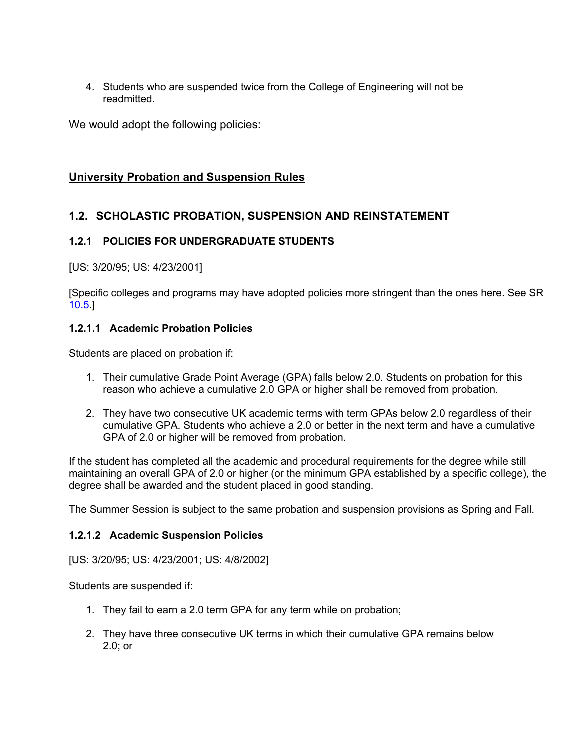4. Students who are suspended twice from the College of Engineering will not be readmitted.

We would adopt the following policies:

## **University Probation and Suspension Rules**

# **1.2. SCHOLASTIC PROBATION, SUSPENSION AND REINSTATEMENT**

#### **1.2.1 POLICIES FOR UNDERGRADUATE STUDENTS**

[US: 3/20/95; US: 4/23/2001]

[Specific colleges and programs may have adopted policies more stringent than the ones here. See SR 10.5.]

#### **1.2.1.1 Academic Probation Policies**

Students are placed on probation if:

- 1. Their cumulative Grade Point Average (GPA) falls below 2.0. Students on probation for this reason who achieve a cumulative 2.0 GPA or higher shall be removed from probation.
- 2. They have two consecutive UK academic terms with term GPAs below 2.0 regardless of their cumulative GPA. Students who achieve a 2.0 or better in the next term and have a cumulative GPA of 2.0 or higher will be removed from probation.

If the student has completed all the academic and procedural requirements for the degree while still maintaining an overall GPA of 2.0 or higher (or the minimum GPA established by a specific college), the degree shall be awarded and the student placed in good standing.

The Summer Session is subject to the same probation and suspension provisions as Spring and Fall.

#### **1.2.1.2 Academic Suspension Policies**

[US: 3/20/95; US: 4/23/2001; US: 4/8/2002]

Students are suspended if:

- 1. They fail to earn a 2.0 term GPA for any term while on probation;
- 2. They have three consecutive UK terms in which their cumulative GPA remains below 2.0; or